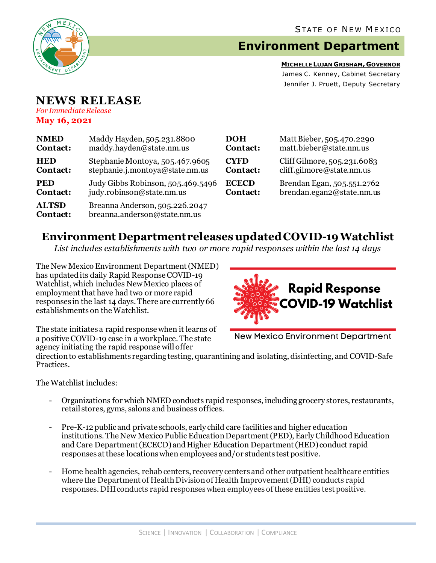

## **Environment Department**

**MICHELLE LUJAN GRISHAM, GOVERNOR** James C. Kenney, Cabinet Secretary Jennifer J. Pruett, Deputy Secretary

## **NEWS RELEASE**

*For Immediate Release* **May 16, 2021**

| <b>NMED</b>              | Maddy Hayden, 505.231.8800                                     | DOH             | Matt Bieber, 505.470.2290   |
|--------------------------|----------------------------------------------------------------|-----------------|-----------------------------|
| Contact:                 | maddy.hayden@state.nm.us                                       | <b>Contact:</b> | matt.bieber@state.nm.us     |
| <b>HED</b>               | Stephanie Montoya, 505.467.9605                                | <b>CYFD</b>     | Cliff Gilmore, 505.231.6083 |
| Contact:                 | stephanie.j.montoya@state.nm.us                                | <b>Contact:</b> | cliff.gilmore@state.nm.us   |
| <b>PED</b>               | Judy Gibbs Robinson, 505.469.5496                              | <b>ECECD</b>    | Brendan Egan, 505.551.2762  |
| Contact:                 | judy.robinson@state.nm.us                                      | <b>Contact:</b> | brendan.egan2@state.nm.us   |
| <b>ALTSD</b><br>Contact: | Breanna Anderson, 505.226.2047<br>breanna.anderson@state.nm.us |                 |                             |

## **Environment Department releases updated COVID-19 Watchlist**

*List includes establishments with two or more rapid responses within the last 14 days*

The New Mexico Environment Department(NMED) has updated its daily Rapid Response COVID-19 Watchlist, which includes New Mexico places of employment that have had two or more rapid responses in the last 14 days. There are currently 66 establishments on the Watchlist.



The state initiates a rapid response when it learns of a positive COVID-19 case in a workplace. The state agency initiating the rapid response will offer

**New Mexico Environment Department** 

direction to establishments regarding testing, quarantining and isolating, disinfecting, and COVID-Safe Practices.

The Watchlist includes:

- Organizations for which NMED conducts rapid responses, including grocery stores, restaurants, retail stores, gyms, salons and business offices.
- Pre-K-12 publicand private schools, early child care facilities and higher education institutions. The New Mexico Public Education Department (PED), Early Childhood Education and Care Department (ECECD) and Higher Education Department (HED) conduct rapid responses at these locations when employees and/or students test positive.
- Home health agencies, rehab centers, recovery centers and other outpatient healthcare entities where the Department of Health Division of Health Improvement (DHI) conducts rapid responses. DHIconducts rapid responses when employees of these entities test positive.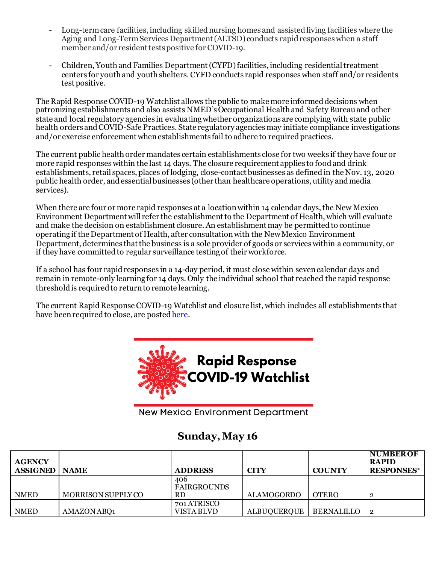- Long-term care facilities, including skilled nursing homes and assisted living facilities where the Aging and Long-Term Services Department (ALTSD) conducts rapid responses when a staff member and/or resident tests positive for COVID-19.
- Children, Youth and Families Department (CYFD)facilities, including residential treatment centers for youth and youth shelters.CYFD conducts rapid responses when staff and/or residents test positive.

The Rapid Response COVID-19 Watchlist allows the public to make more informed decisions when patronizing establishments and also assists NMED's Occupational Health and Safety Bureauand other state and local regulatory agencies in evaluating whether organizations are complying with state public health orders and COVID-Safe Practices. State regulatory agencies may initiate compliance investigations and/or exercise enforcement when establishments fail to adhere to required practices.

The current public health order mandates certain establishments close for two weeks if they have four or more rapid responses within the last 14 days. The closure requirement applies to food and drink establishments, retail spaces, places of lodging, close-contact businesses as defined in the Nov. 13, 2020 public health order, and essential businesses (other than healthcare operations, utility and media services).

When there are four or more rapid responses at a location within 14 calendar days, the New Mexico Environment Department will refer the establishment to the Department of Health, which will evaluate and make the decision on establishment closure. An establishment may be permitted to continue operating if the Department of Health, after consultation with the New Mexico Environment Department, determines that the business is a sole provider of goods or services within a community, or if they have committed to regular surveillance testing of their workforce.

If a school has four rapid responses in a 14-day period, it must close within seven calendar days and remain in remote-only learning for 14 days. Only the individual school that reached the rapid response threshold is required to return to remote learning.

The current Rapid Response COVID-19 Watchlist and closure list, which includes all establishments that have been required to close, are poste[d here.](https://www.env.nm.gov/rapid-response-data/)



**New Mexico Environment Department** 

## **Sunday, May 16**

| <b>AGENCY</b><br><b>ASSIGNED</b> | <b>NAME</b>        | <b>ADDRESS</b>                         | CITY               | <b>COUNTY</b>     | <b>NUMBEROF</b><br><b>RAPID</b><br><b>RESPONSES*</b> |
|----------------------------------|--------------------|----------------------------------------|--------------------|-------------------|------------------------------------------------------|
| <b>NMED</b>                      | MORRISON SUPPLY CO | 406<br><b>FAIRGROUNDS</b><br><b>RD</b> | ALAMOGORDO         | <b>OTERO</b>      |                                                      |
| <b>NMED</b>                      | AMAZON ABO1        | 701 ATRISCO<br>VISTA BLVD              | <b>ALBUQUERQUE</b> | <b>BERNALILLO</b> |                                                      |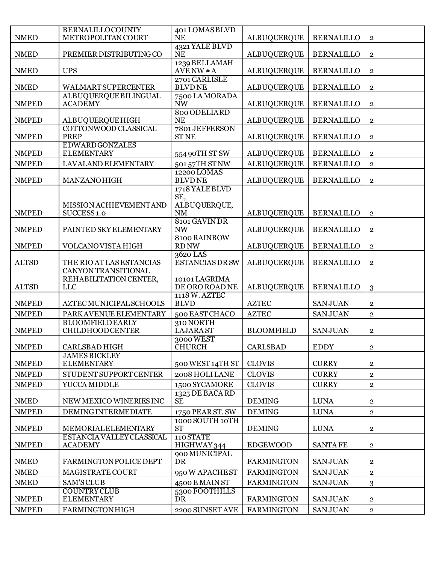| <b>NMED</b>                  | <b>BERNALILLOCOUNTY</b><br>METROPOLITAN COURT               | 401 LOMAS BLVD<br><b>NE</b>        | <b>ALBUQUERQUE</b>                       | <b>BERNALILLO</b> | $\mathbf{2}$                     |
|------------------------------|-------------------------------------------------------------|------------------------------------|------------------------------------------|-------------------|----------------------------------|
| <b>NMED</b>                  | PREMIER DISTRIBUTING CO                                     | 4321 YALE BLVD<br><b>NE</b>        | ALBUQUERQUE                              | <b>BERNALILLO</b> | $\overline{2}$                   |
|                              |                                                             | 1239 BELLAMAH                      |                                          |                   |                                  |
| <b>NMED</b>                  | <b>UPS</b>                                                  | AVENW #A<br>2701 CARLISLE          | <b>ALBUQUERQUE</b>                       | <b>BERNALILLO</b> | $\overline{2}$                   |
| <b>NMED</b>                  | <b>WALMART SUPERCENTER</b>                                  | <b>BLVDNE</b>                      | <b>ALBUQUERQUE</b>                       | <b>BERNALILLO</b> | $\overline{2}$                   |
| <b>NMPED</b>                 | ALBUQUERQUE BILINGUAL<br><b>ACADEMY</b>                     | 7500 LA MORADA<br><b>NW</b>        | <b>ALBUQUERQUE</b>                       | <b>BERNALILLO</b> | $\mathbf{2}$                     |
| <b>NMPED</b>                 | <b>ALBUQUERQUE HIGH</b>                                     | 800 ODELIARD<br><b>NE</b>          | <b>ALBUQUERQUE</b>                       | <b>BERNALILLO</b> | $\overline{2}$                   |
| <b>NMPED</b>                 | COTTONWOOD CLASSICAL<br><b>PREP</b>                         | 7801 JEFFERSON<br><b>ST NE</b>     | <b>ALBUQUERQUE</b>                       | <b>BERNALILLO</b> | $\overline{2}$                   |
|                              | <b>EDWARDGONZALES</b>                                       |                                    |                                          | <b>BERNALILLO</b> |                                  |
| <b>NMPED</b><br><b>NMPED</b> | <b>ELEMENTARY</b><br>LAVALAND ELEMENTARY                    | 554 90TH ST SW<br>501 57TH STNW    | <b>ALBUQUERQUE</b><br><b>ALBUQUERQUE</b> | <b>BERNALILLO</b> | $\overline{2}$<br>$\overline{2}$ |
|                              |                                                             | 12200 LOMAS                        |                                          |                   |                                  |
| <b>NMPED</b>                 | <b>MANZANOHIGH</b>                                          | <b>BLVDNE</b>                      | <b>ALBUQUERQUE</b>                       | <b>BERNALILLO</b> | $\mathbf{2}$                     |
|                              |                                                             | 1718 YALE BLVD<br>SE,              |                                          |                   |                                  |
|                              | MISSION ACHIEVEMENTAND                                      | ALBUQUERQUE,                       |                                          |                   |                                  |
| <b>NMPED</b>                 | SUCCESS <sub>1.0</sub>                                      | $\rm{NM}$                          | <b>ALBUQUERQUE</b>                       | <b>BERNALILLO</b> | $\mathbf 2$                      |
| <b>NMPED</b>                 | PAINTED SKY ELEMENTARY                                      | 8101 GAVIN DR<br><b>NW</b>         | <b>ALBUQUERQUE</b>                       | <b>BERNALILLO</b> | $\overline{2}$                   |
| <b>NMPED</b>                 | VOLCANOVISTA HIGH                                           | 8100 RAINBOW<br><b>RD NW</b>       | <b>ALBUQUERQUE</b>                       | <b>BERNALILLO</b> | $\overline{2}$                   |
| <b>ALTSD</b>                 | THE RIO AT LAS ESTANCIAS                                    | 3620 LAS<br><b>ESTANCIAS DR SW</b> | <b>ALBUQUERQUE</b>                       | <b>BERNALILLO</b> | $\overline{2}$                   |
| <b>ALTSD</b>                 | <b>CANYON TRANSITIONAL</b><br>REHABILITATION CENTER,<br>LLC | 10101 LAGRIMA<br>DE ORO ROAD NE    | <b>ALBUQUERQUE</b>                       | <b>BERNALILLO</b> | 3                                |
| <b>NMPED</b>                 | AZTEC MUNICIPAL SCHOOLS                                     | 1118 W. AZTEC<br><b>BLVD</b>       | <b>AZTEC</b>                             | <b>SANJUAN</b>    | $\overline{2}$                   |
| <b>NMPED</b>                 | PARK AVENUE ELEMENTARY                                      | 500 EAST CHACO                     | <b>AZTEC</b>                             | <b>SANJUAN</b>    | $\overline{2}$                   |
| <b>NMPED</b>                 | <b>BLOOMFIELD EARLY</b><br><b>CHILDHOOD CENTER</b>          | 310 NORTH<br><b>LAJARA ST</b>      | <b>BLOOMFIELD</b>                        | <b>SANJUAN</b>    | $\bf 2$                          |
| <b>NMPED</b>                 | <b>CARLSBAD HIGH</b>                                        | 3000 WEST<br><b>CHURCH</b>         | <b>CARLSBAD</b>                          | <b>EDDY</b>       | $\overline{2}$                   |
| <b>NMPED</b>                 | <b>JAMES BICKLEY</b><br><b>ELEMENTARY</b>                   | 500 WEST 14TH ST                   | <b>CLOVIS</b>                            | <b>CURRY</b>      | $\overline{2}$                   |
| <b>NMPED</b>                 | STUDENT SUPPORT CENTER                                      | 2008 HOLI LANE                     | <b>CLOVIS</b>                            | <b>CURRY</b>      | $\mathbf 2$                      |
| <b>NMPED</b>                 | YUCCA MIDDLE                                                | 1500 SYCAMORE                      | <b>CLOVIS</b>                            | <b>CURRY</b>      | $\overline{2}$                   |
| <b>NMED</b>                  | NEW MEXICO WINERIES INC                                     | 1325 DE BACA RD<br><b>SE</b>       | <b>DEMING</b>                            | <b>LUNA</b>       | $\overline{2}$                   |
| <b>NMPED</b>                 | <b>DEMING INTERMEDIATE</b>                                  | 1750 PEAR ST. SW                   | <b>DEMING</b>                            | <b>LUNA</b>       | $\mathbf 2$                      |
| <b>NMPED</b>                 | MEMORIALELEMENTARY                                          | 1000 SOUTH 10TH<br><b>ST</b>       | <b>DEMING</b>                            | <b>LUNA</b>       | $\bf 2$                          |
| <b>NMPED</b>                 | ESTANCIA VALLEY CLASSICAL<br><b>ACADEMY</b>                 | 110 STATE<br>HIGHWAY 344           | <b>EDGEWOOD</b>                          | <b>SANTAFE</b>    | $\overline{2}$                   |
| <b>NMED</b>                  | <b>FARMINGTONPOLICE DEPT</b>                                | 900 MUNICIPAL<br><b>DR</b>         | <b>FARMINGTON</b>                        | <b>SANJUAN</b>    | $\mathbf{2}$                     |
| <b>NMED</b>                  | MAGISTRATE COURT                                            | 950 W APACHEST                     | <b>FARMINGTON</b>                        | <b>SANJUAN</b>    | $\mathbf 2$                      |
| <b>NMED</b>                  | SAM'S CLUB                                                  | 4500 E MAIN ST                     | <b>FARMINGTON</b>                        | <b>SANJUAN</b>    | 3                                |
| <b>NMPED</b>                 | <b>COUNTRY CLUB</b><br><b>ELEMENTARY</b>                    | 5300 FOOTHILLS<br>DR               | <b>FARMINGTON</b>                        | <b>SANJUAN</b>    | $\mathbf 2$                      |
| <b>NMPED</b>                 | <b>FARMINGTON HIGH</b>                                      | 2200 SUNSET AVE                    | <b>FARMINGTON</b>                        | <b>SANJUAN</b>    | $\sqrt{2}$                       |
|                              |                                                             |                                    |                                          |                   |                                  |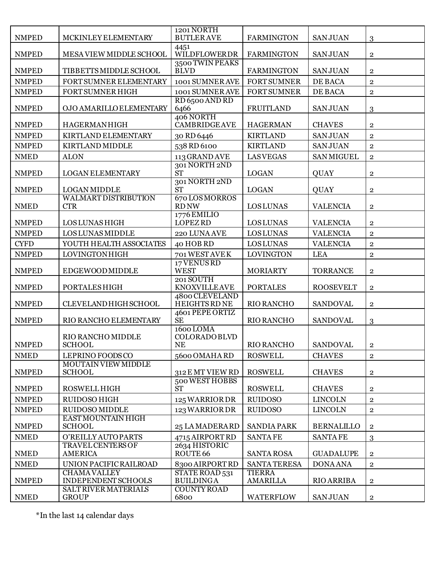| 4451<br><b>NMPED</b><br>MESA VIEW MIDDLE SCHOOL<br>WILDFLOWERDR<br><b>FARMINGTON</b><br><b>SANJUAN</b><br>$\overline{2}$<br>3500 TWIN PEAKS<br><b>NMPED</b><br><b>BLVD</b><br>TIBBETTS MIDDLE SCHOOL<br><b>FARMINGTON</b><br><b>SANJUAN</b><br>$\overline{2}$<br><b>NMPED</b><br>FORT SUMNER ELEMENTARY<br>1001 SUMNER AVE<br><b>FORT SUMNER</b><br>DE BACA<br>$\overline{2}$<br><b>NMPED</b><br>FORT SUMNER HIGH<br>1001 SUMNER AVE<br><b>FORT SUMNER</b><br>DE BACA<br>$\overline{2}$<br>RD 6500 AND RD<br><b>NMPED</b><br>OJO AMARILLO ELEMENTARY<br>6466<br><b>FRUITLAND</b><br><b>SANJUAN</b><br>3<br>406 NORTH<br>CAMBRIDGEAVE<br><b>NMPED</b><br><b>HAGERMANHIGH</b><br><b>HAGERMAN</b><br><b>CHAVES</b><br>$\overline{2}$<br><b>NMPED</b><br>KIRTLAND ELEMENTARY<br><b>KIRTLAND</b><br><b>SANJUAN</b><br>30 RD 6446<br>$\overline{2}$<br><b>NMPED</b><br>KIRTLAND MIDDLE<br>538 RD 6100<br><b>KIRTLAND</b><br><b>SANJUAN</b><br>$\overline{2}$<br><b>LASVEGAS</b><br><b>NMED</b><br><b>ALON</b><br>113 GRAND AVE<br><b>SAN MIGUEL</b><br>$\overline{2}$<br>301 NORTH 2ND<br><b>ST</b><br><b>NMPED</b><br><b>LOGAN ELEMENTARY</b><br><b>LOGAN</b><br><b>QUAY</b><br>$\overline{2}$<br>301 NORTH 2ND<br><b>ST</b><br><b>NMPED</b><br><b>LOGAN MIDDLE</b><br><b>LOGAN</b><br>QUAY<br>$\overline{2}$<br>670 LOS MORROS<br><b>WALMART DISTRIBUTION</b><br><b>LOS LUNAS</b><br><b>NMED</b><br><b>CTR</b><br><b>RD NW</b><br><b>VALENCIA</b><br>$\overline{2}$<br>1776 EMILIO<br><b>LOPEZ RD</b><br><b>NMPED</b><br><b>LOS LUNAS HIGH</b><br><b>LOS LUNAS</b><br><b>VALENCIA</b><br>$\overline{2}$<br><b>NMPED</b><br><b>LOS LUNAS MIDDLE</b><br><b>LOS LUNAS</b><br><b>VALENCIA</b><br>220 LUNAAVE<br>$\overline{2}$<br><b>CYFD</b><br>YOUTH HEALTH ASSOCIATES<br>40 HOB RD<br><b>LOS LUNAS</b><br><b>VALENCIA</b><br>$\overline{2}$<br><b>NMPED</b><br>LOVINGTONHIGH<br>701 WEST AVE K<br><b>LOVINGTON</b><br><b>LEA</b><br>$\overline{2}$<br>17 VENUS RD<br><b>WEST</b><br><b>NMPED</b><br><b>EDGEWOODMIDDLE</b><br><b>MORIARTY</b><br><b>TORRANCE</b><br>$\overline{2}$<br>201 SOUTH<br><b>NMPED</b><br>PORTALES HIGH<br><b>KNOXVILLEAVE</b><br><b>PORTALES</b><br><b>ROOSEVELT</b><br>$\overline{2}$<br>4800 CLEVELAND<br>RIO RANCHO<br><b>NMPED</b><br>CLEVELAND HIGH SCHOOL<br><b>HEIGHTS RD NE</b><br><b>SANDOVAL</b><br>$\overline{2}$<br>4601 PEPE ORTIZ<br><b>NMPED</b><br>RIO RANCHO ELEMENTARY<br><b>SE</b><br><b>RIO RANCHO</b><br><b>SANDOVAL</b><br>3<br>1600 LOMA |  |
|-------------------------------------------------------------------------------------------------------------------------------------------------------------------------------------------------------------------------------------------------------------------------------------------------------------------------------------------------------------------------------------------------------------------------------------------------------------------------------------------------------------------------------------------------------------------------------------------------------------------------------------------------------------------------------------------------------------------------------------------------------------------------------------------------------------------------------------------------------------------------------------------------------------------------------------------------------------------------------------------------------------------------------------------------------------------------------------------------------------------------------------------------------------------------------------------------------------------------------------------------------------------------------------------------------------------------------------------------------------------------------------------------------------------------------------------------------------------------------------------------------------------------------------------------------------------------------------------------------------------------------------------------------------------------------------------------------------------------------------------------------------------------------------------------------------------------------------------------------------------------------------------------------------------------------------------------------------------------------------------------------------------------------------------------------------------------------------------------------------------------------------------------------------------------------------------------------------------------------------------------------------------------------------------------------------------------------------------------------------------------------------------------------------------------------------------------------------------------------------|--|
|                                                                                                                                                                                                                                                                                                                                                                                                                                                                                                                                                                                                                                                                                                                                                                                                                                                                                                                                                                                                                                                                                                                                                                                                                                                                                                                                                                                                                                                                                                                                                                                                                                                                                                                                                                                                                                                                                                                                                                                                                                                                                                                                                                                                                                                                                                                                                                                                                                                                                     |  |
|                                                                                                                                                                                                                                                                                                                                                                                                                                                                                                                                                                                                                                                                                                                                                                                                                                                                                                                                                                                                                                                                                                                                                                                                                                                                                                                                                                                                                                                                                                                                                                                                                                                                                                                                                                                                                                                                                                                                                                                                                                                                                                                                                                                                                                                                                                                                                                                                                                                                                     |  |
|                                                                                                                                                                                                                                                                                                                                                                                                                                                                                                                                                                                                                                                                                                                                                                                                                                                                                                                                                                                                                                                                                                                                                                                                                                                                                                                                                                                                                                                                                                                                                                                                                                                                                                                                                                                                                                                                                                                                                                                                                                                                                                                                                                                                                                                                                                                                                                                                                                                                                     |  |
|                                                                                                                                                                                                                                                                                                                                                                                                                                                                                                                                                                                                                                                                                                                                                                                                                                                                                                                                                                                                                                                                                                                                                                                                                                                                                                                                                                                                                                                                                                                                                                                                                                                                                                                                                                                                                                                                                                                                                                                                                                                                                                                                                                                                                                                                                                                                                                                                                                                                                     |  |
|                                                                                                                                                                                                                                                                                                                                                                                                                                                                                                                                                                                                                                                                                                                                                                                                                                                                                                                                                                                                                                                                                                                                                                                                                                                                                                                                                                                                                                                                                                                                                                                                                                                                                                                                                                                                                                                                                                                                                                                                                                                                                                                                                                                                                                                                                                                                                                                                                                                                                     |  |
|                                                                                                                                                                                                                                                                                                                                                                                                                                                                                                                                                                                                                                                                                                                                                                                                                                                                                                                                                                                                                                                                                                                                                                                                                                                                                                                                                                                                                                                                                                                                                                                                                                                                                                                                                                                                                                                                                                                                                                                                                                                                                                                                                                                                                                                                                                                                                                                                                                                                                     |  |
|                                                                                                                                                                                                                                                                                                                                                                                                                                                                                                                                                                                                                                                                                                                                                                                                                                                                                                                                                                                                                                                                                                                                                                                                                                                                                                                                                                                                                                                                                                                                                                                                                                                                                                                                                                                                                                                                                                                                                                                                                                                                                                                                                                                                                                                                                                                                                                                                                                                                                     |  |
|                                                                                                                                                                                                                                                                                                                                                                                                                                                                                                                                                                                                                                                                                                                                                                                                                                                                                                                                                                                                                                                                                                                                                                                                                                                                                                                                                                                                                                                                                                                                                                                                                                                                                                                                                                                                                                                                                                                                                                                                                                                                                                                                                                                                                                                                                                                                                                                                                                                                                     |  |
|                                                                                                                                                                                                                                                                                                                                                                                                                                                                                                                                                                                                                                                                                                                                                                                                                                                                                                                                                                                                                                                                                                                                                                                                                                                                                                                                                                                                                                                                                                                                                                                                                                                                                                                                                                                                                                                                                                                                                                                                                                                                                                                                                                                                                                                                                                                                                                                                                                                                                     |  |
|                                                                                                                                                                                                                                                                                                                                                                                                                                                                                                                                                                                                                                                                                                                                                                                                                                                                                                                                                                                                                                                                                                                                                                                                                                                                                                                                                                                                                                                                                                                                                                                                                                                                                                                                                                                                                                                                                                                                                                                                                                                                                                                                                                                                                                                                                                                                                                                                                                                                                     |  |
|                                                                                                                                                                                                                                                                                                                                                                                                                                                                                                                                                                                                                                                                                                                                                                                                                                                                                                                                                                                                                                                                                                                                                                                                                                                                                                                                                                                                                                                                                                                                                                                                                                                                                                                                                                                                                                                                                                                                                                                                                                                                                                                                                                                                                                                                                                                                                                                                                                                                                     |  |
|                                                                                                                                                                                                                                                                                                                                                                                                                                                                                                                                                                                                                                                                                                                                                                                                                                                                                                                                                                                                                                                                                                                                                                                                                                                                                                                                                                                                                                                                                                                                                                                                                                                                                                                                                                                                                                                                                                                                                                                                                                                                                                                                                                                                                                                                                                                                                                                                                                                                                     |  |
|                                                                                                                                                                                                                                                                                                                                                                                                                                                                                                                                                                                                                                                                                                                                                                                                                                                                                                                                                                                                                                                                                                                                                                                                                                                                                                                                                                                                                                                                                                                                                                                                                                                                                                                                                                                                                                                                                                                                                                                                                                                                                                                                                                                                                                                                                                                                                                                                                                                                                     |  |
|                                                                                                                                                                                                                                                                                                                                                                                                                                                                                                                                                                                                                                                                                                                                                                                                                                                                                                                                                                                                                                                                                                                                                                                                                                                                                                                                                                                                                                                                                                                                                                                                                                                                                                                                                                                                                                                                                                                                                                                                                                                                                                                                                                                                                                                                                                                                                                                                                                                                                     |  |
|                                                                                                                                                                                                                                                                                                                                                                                                                                                                                                                                                                                                                                                                                                                                                                                                                                                                                                                                                                                                                                                                                                                                                                                                                                                                                                                                                                                                                                                                                                                                                                                                                                                                                                                                                                                                                                                                                                                                                                                                                                                                                                                                                                                                                                                                                                                                                                                                                                                                                     |  |
|                                                                                                                                                                                                                                                                                                                                                                                                                                                                                                                                                                                                                                                                                                                                                                                                                                                                                                                                                                                                                                                                                                                                                                                                                                                                                                                                                                                                                                                                                                                                                                                                                                                                                                                                                                                                                                                                                                                                                                                                                                                                                                                                                                                                                                                                                                                                                                                                                                                                                     |  |
|                                                                                                                                                                                                                                                                                                                                                                                                                                                                                                                                                                                                                                                                                                                                                                                                                                                                                                                                                                                                                                                                                                                                                                                                                                                                                                                                                                                                                                                                                                                                                                                                                                                                                                                                                                                                                                                                                                                                                                                                                                                                                                                                                                                                                                                                                                                                                                                                                                                                                     |  |
|                                                                                                                                                                                                                                                                                                                                                                                                                                                                                                                                                                                                                                                                                                                                                                                                                                                                                                                                                                                                                                                                                                                                                                                                                                                                                                                                                                                                                                                                                                                                                                                                                                                                                                                                                                                                                                                                                                                                                                                                                                                                                                                                                                                                                                                                                                                                                                                                                                                                                     |  |
|                                                                                                                                                                                                                                                                                                                                                                                                                                                                                                                                                                                                                                                                                                                                                                                                                                                                                                                                                                                                                                                                                                                                                                                                                                                                                                                                                                                                                                                                                                                                                                                                                                                                                                                                                                                                                                                                                                                                                                                                                                                                                                                                                                                                                                                                                                                                                                                                                                                                                     |  |
|                                                                                                                                                                                                                                                                                                                                                                                                                                                                                                                                                                                                                                                                                                                                                                                                                                                                                                                                                                                                                                                                                                                                                                                                                                                                                                                                                                                                                                                                                                                                                                                                                                                                                                                                                                                                                                                                                                                                                                                                                                                                                                                                                                                                                                                                                                                                                                                                                                                                                     |  |
|                                                                                                                                                                                                                                                                                                                                                                                                                                                                                                                                                                                                                                                                                                                                                                                                                                                                                                                                                                                                                                                                                                                                                                                                                                                                                                                                                                                                                                                                                                                                                                                                                                                                                                                                                                                                                                                                                                                                                                                                                                                                                                                                                                                                                                                                                                                                                                                                                                                                                     |  |
| COLORADOBLVD<br>RIO RANCHO MIDDLE<br>RIO RANCHO<br><b>SANDOVAL</b><br><b>NMPED</b><br><b>SCHOOL</b><br>NE<br>$\mathbf{2}$                                                                                                                                                                                                                                                                                                                                                                                                                                                                                                                                                                                                                                                                                                                                                                                                                                                                                                                                                                                                                                                                                                                                                                                                                                                                                                                                                                                                                                                                                                                                                                                                                                                                                                                                                                                                                                                                                                                                                                                                                                                                                                                                                                                                                                                                                                                                                           |  |
| <b>NMED</b><br>LEPRINO FOODS CO<br>5600 OMAHARD<br><b>ROSWELL</b><br><b>CHAVES</b><br>$\overline{2}$                                                                                                                                                                                                                                                                                                                                                                                                                                                                                                                                                                                                                                                                                                                                                                                                                                                                                                                                                                                                                                                                                                                                                                                                                                                                                                                                                                                                                                                                                                                                                                                                                                                                                                                                                                                                                                                                                                                                                                                                                                                                                                                                                                                                                                                                                                                                                                                |  |
| MOUTAIN VIEW MIDDLE<br><b>NMPED</b><br>312 E MT VIEW RD<br><b>ROSWELL</b><br><b>CHAVES</b><br><b>SCHOOL</b><br>$\overline{2}$                                                                                                                                                                                                                                                                                                                                                                                                                                                                                                                                                                                                                                                                                                                                                                                                                                                                                                                                                                                                                                                                                                                                                                                                                                                                                                                                                                                                                                                                                                                                                                                                                                                                                                                                                                                                                                                                                                                                                                                                                                                                                                                                                                                                                                                                                                                                                       |  |
| 500 WEST HOBBS<br><b>NMPED</b><br><b>ROSWELL</b><br><b>ROSWELL HIGH</b><br><b>ST</b><br><b>CHAVES</b><br>$\overline{2}$                                                                                                                                                                                                                                                                                                                                                                                                                                                                                                                                                                                                                                                                                                                                                                                                                                                                                                                                                                                                                                                                                                                                                                                                                                                                                                                                                                                                                                                                                                                                                                                                                                                                                                                                                                                                                                                                                                                                                                                                                                                                                                                                                                                                                                                                                                                                                             |  |
| <b>NMPED</b><br><b>RUIDOSO</b><br><b>LINCOLN</b><br>RUIDOSO HIGH<br>125 WARRIOR DR<br>$\overline{2}$                                                                                                                                                                                                                                                                                                                                                                                                                                                                                                                                                                                                                                                                                                                                                                                                                                                                                                                                                                                                                                                                                                                                                                                                                                                                                                                                                                                                                                                                                                                                                                                                                                                                                                                                                                                                                                                                                                                                                                                                                                                                                                                                                                                                                                                                                                                                                                                |  |
| <b>NMPED</b><br><b>RUIDOSO MIDDLE</b><br>123 WARRIOR DR<br><b>RUIDOSO</b><br><b>LINCOLN</b><br>$\overline{2}$                                                                                                                                                                                                                                                                                                                                                                                                                                                                                                                                                                                                                                                                                                                                                                                                                                                                                                                                                                                                                                                                                                                                                                                                                                                                                                                                                                                                                                                                                                                                                                                                                                                                                                                                                                                                                                                                                                                                                                                                                                                                                                                                                                                                                                                                                                                                                                       |  |
| EAST MOUNTAIN HIGH<br><b>NMPED</b><br><b>SCHOOL</b><br><b>SANDIA PARK</b><br><b>BERNALILLO</b><br>25 LA MADERARD<br>$\overline{2}$                                                                                                                                                                                                                                                                                                                                                                                                                                                                                                                                                                                                                                                                                                                                                                                                                                                                                                                                                                                                                                                                                                                                                                                                                                                                                                                                                                                                                                                                                                                                                                                                                                                                                                                                                                                                                                                                                                                                                                                                                                                                                                                                                                                                                                                                                                                                                  |  |
| O'REILLY AUTO PARTS<br><b>NMED</b><br>4715 AIRPORT RD<br><b>SANTAFE</b><br><b>SANTAFE</b><br>3                                                                                                                                                                                                                                                                                                                                                                                                                                                                                                                                                                                                                                                                                                                                                                                                                                                                                                                                                                                                                                                                                                                                                                                                                                                                                                                                                                                                                                                                                                                                                                                                                                                                                                                                                                                                                                                                                                                                                                                                                                                                                                                                                                                                                                                                                                                                                                                      |  |
| 2634 HISTORIC<br>TRAVEL CENTERS OF<br><b>NMED</b><br>ROUTE <sub>66</sub><br><b>AMERICA</b><br><b>SANTA ROSA</b><br><b>GUADALUPE</b><br>$\overline{2}$                                                                                                                                                                                                                                                                                                                                                                                                                                                                                                                                                                                                                                                                                                                                                                                                                                                                                                                                                                                                                                                                                                                                                                                                                                                                                                                                                                                                                                                                                                                                                                                                                                                                                                                                                                                                                                                                                                                                                                                                                                                                                                                                                                                                                                                                                                                               |  |
| <b>SANTA TERESA</b><br><b>NMED</b><br>UNION PACIFIC RAILROAD<br>8300 AIRPORT RD<br><b>DONA ANA</b><br>$\overline{2}$                                                                                                                                                                                                                                                                                                                                                                                                                                                                                                                                                                                                                                                                                                                                                                                                                                                                                                                                                                                                                                                                                                                                                                                                                                                                                                                                                                                                                                                                                                                                                                                                                                                                                                                                                                                                                                                                                                                                                                                                                                                                                                                                                                                                                                                                                                                                                                |  |
| <b>CHAMAVALLEY</b><br>STATE ROAD 531<br><b>TIERRA</b><br><b>NMPED</b><br><b>BUILDINGA</b><br>INDEPENDENT SCHOOLS<br><b>AMARILLA</b><br><b>RIO ARRIBA</b><br>$\overline{2}$                                                                                                                                                                                                                                                                                                                                                                                                                                                                                                                                                                                                                                                                                                                                                                                                                                                                                                                                                                                                                                                                                                                                                                                                                                                                                                                                                                                                                                                                                                                                                                                                                                                                                                                                                                                                                                                                                                                                                                                                                                                                                                                                                                                                                                                                                                          |  |
| <b>COUNTY ROAD</b><br>SALT RIVER MATERIALS<br><b>NMED</b><br><b>GROUP</b><br><b>WATERFLOW</b><br><b>SANJUAN</b><br>6800<br>$\mathbf{2}$                                                                                                                                                                                                                                                                                                                                                                                                                                                                                                                                                                                                                                                                                                                                                                                                                                                                                                                                                                                                                                                                                                                                                                                                                                                                                                                                                                                                                                                                                                                                                                                                                                                                                                                                                                                                                                                                                                                                                                                                                                                                                                                                                                                                                                                                                                                                             |  |

 $^\ast{\rm In}$  the last 14 calendar days